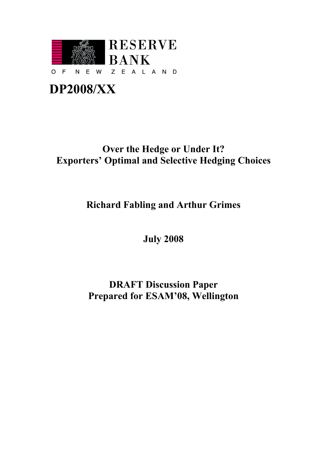

# **DP2008/XX**

# **Over the Hedge or Under It? Exporters' Optimal and Selective Hedging Choices**

# **Richard Fabling and Arthur Grimes**

**July 2008**

# **DRAFT Discussion Paper Prepared for ESAM'08, Wellington**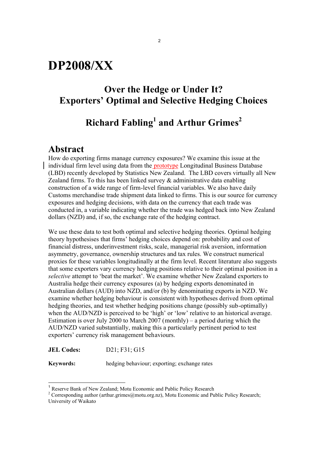# **DP2008/XX**

### **Over the Hedge or Under It? Exporters' Optimal and Selective Hedging Choices**

## **Richard Fabling<sup>1</sup> and Arthur Grimes 2**

### **Abstract**

How do exporting firms manage currency exposures? We examine this issue at the individual firm level using data from the prototype Longitudinal Business Database (LBD) recently developed by Statistics New Zealand. The LBD covers virtually all New Zealand firms. To this has been linked survey  $\&$  administrative data enabling construction of a wide range of firm-level financial variables. We also have daily Customs merchandise trade shipment data linked to firms. This is our source for currency exposures and hedging decisions, with data on the currency that each trade was conducted in, a variable indicating whether the trade was hedged back into New Zealand dollars (NZD) and, if so, the exchange rate of the hedging contract.

We use these data to test both optimal and selective hedging theories. Optimal hedging theory hypothesises that firms' hedging choices depend on: probability and cost of financial distress, underinvestment risks, scale, managerial risk aversion, information asymmetry, governance, ownership structures and tax rules. We construct numerical proxies for these variables longitudinally at the firm level. Recent literature also suggests that some exporters vary currency hedging positions relative to their optimal position in a *selective* attempt to 'beat the market'. We examine whether New Zealand exporters to Australia hedge their currency exposures (a) by hedging exports denominated in Australian dollars (AUD) into NZD, and/or (b) by denominating exports in NZD. We examine whether hedging behaviour is consistent with hypotheses derived from optimal hedging theories, and test whether hedging positions change (possibly sub-optimally) when the AUD/NZD is perceived to be 'high' or 'low' relative to an historical average. Estimation is over July 2000 to March 2007 (monthly) – a period during which the AUD/NZD varied substantially, making this a particularly pertinent period to test exporters' currency risk management behaviours.

**JEL Codes:** D21; F31; G15

 $\overline{\phantom{a}}$ 

**Keywords:** hedging behaviour; exporting; exchange rates

<sup>&</sup>lt;sup>1</sup> Reserve Bank of New Zealand; Motu Economic and Public Policy Research

<sup>&</sup>lt;sup>2</sup> Corresponding author (arthur.grimes@motu.org.nz), Motu Economic and Public Policy Research; University of Waikato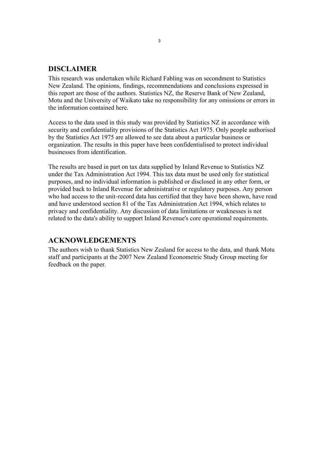### **DISCLAIMER**

This research was undertaken while Richard Fabling was on secondment to Statistics New Zealand. The opinions, findings, recommendations and conclusions expressed in this report are those of the authors. Statistics NZ, the Reserve Bank of New Zealand, Motu and the University of Waikato take no responsibility for any omissions or errors in the information contained here.

Access to the data used in this study was provided by Statistics NZ in accordance with security and confidentiality provisions of the Statistics Act 1975. Only people authorised by the Statistics Act 1975 are allowed to see data about a particular business or organization. The results in this paper have been confidentialised to protect individual businesses from identification.

The results are based in part on tax data supplied by Inland Revenue to Statistics NZ under the Tax Administration Act 1994. This tax data must be used only for statistical purposes, and no individual information is published or disclosed in any other form, or provided back to Inland Revenue for administrative or regulatory purposes. Any person who had access to the unit-record data has certified that they have been shown, have read and have understood section 81 of the Tax Administration Act 1994, which relates to privacy and confidentiality. Any discussion of data limitations or weaknesses is not related to the data's ability to support Inland Revenue's core operational requirements.

### **ACKNOWLEDGEMENTS**

The authors wish to thank Statistics New Zealand for access to the data, and thank Motu staff and participants at the 2007 New Zealand Econometric Study Group meeting for feedback on the paper.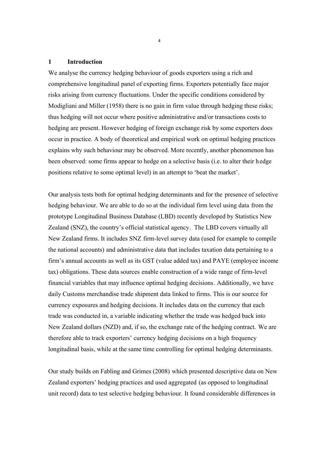#### **1 Introduction**

We analyse the currency hedging behaviour of goods exporters using a rich and comprehensive longitudinal panel of exporting firms. Exporters potentially face major risks arising from currency fluctuations. Under the specific conditions considered by Modigliani and Miller (1958) there is no gain in firm value through hedging these risks; thus hedging will not occur where positive administrative and/or transactions costs to hedging are present. However hedging of foreign exchange risk by some exporters does occur in practice. A body of theoretical and empirical work on optimal hedging practices explains why such behaviour may be observed. More recently, another phenomenon has been observed: some firms appear to hedge on a selective basis (i.e. to alter their hedge positions relative to some optimal level) in an attempt to 'beat the market'.

Our analysis tests both for optimal hedging determinants and for the presence of selective hedging behaviour. We are able to do so at the individual firm level using data from the prototype Longitudinal Business Database (LBD) recently developed by Statistics New Zealand (SNZ), the country's official statistical agency. The LBD covers virtually all New Zealand firms. It includes SNZ firm-level survey data (used for example to compile the national accounts) and administrative data that includes taxation data pertaining to a firm's annual accounts as well as its GST (value added tax) and PAYE (employee income tax) obligations. These data sources enable construction of a wide range of firm-level financial variables that may influence optimal hedging decisions. Additionally, we have daily Customs merchandise trade shipment data linked to firms. This is our source for currency exposures and hedging decisions. It includes data on the currency that each trade was conducted in, a variable indicating whether the trade was hedged back into New Zealand dollars (NZD) and, if so, the exchange rate of the hedging contract. We are therefore able to track exporters' currency hedging decisions on a high frequency longitudinal basis, while at the same time controlling for optimal hedging determinants.

Our study builds on Fabling and Grimes (2008) which presented descriptive data on New Zealand exporters' hedging practices and used aggregated (as opposed to longitudinal unit record) data to test selective hedging behaviour. It found considerable differences in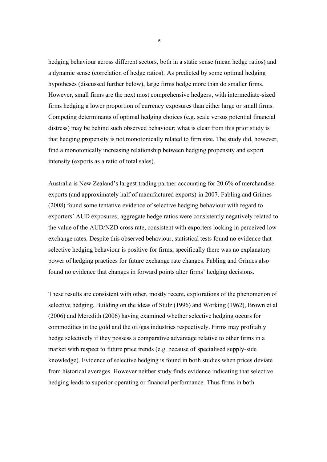hedging behaviour across different sectors, both in a static sense (mean hedge ratios) and a dynamic sense (correlation of hedge ratios). As predicted by some optimal hedging hypotheses (discussed further below), large firms hedge more than do smaller firms. However, small firms are the next most comprehensive hedgers, with intermediate-sized firms hedging a lower proportion of currency exposures than either large or small firms. Competing determinants of optimal hedging choices (e.g. scale versus potential financial distress) may be behind such observed behaviour; what is clear from this prior study is that hedging propensity is not monotonically related to firm size. The study did, however, find a monotonically increasing relationship between hedging propensity and export intensity (exports as a ratio of total sales).

Australia is New Zealand's largest trading partner accounting for 20.6% of merchandise exports (and approximately half of manufactured exports) in 2007. Fabling and Grimes (2008) found some tentative evidence of selective hedging behaviour with regard to exporters' AUD exposures; aggregate hedge ratios were consistently negatively related to the value of the AUD/NZD cross rate, consistent with exporters locking in perceived low exchange rates. Despite this observed behaviour, statistical tests found no evidence that selective hedging behaviour is positive for firms; specifically there was no explanatory power of hedging practices for future exchange rate changes. Fabling and Grimes also found no evidence that changes in forward points alter firms' hedging decisions.

These results are consistent with other, mostly recent, explorations of the phenomenon of selective hedging. Building on the ideas of Stulz (1996) and Working (1962), Brown et al (2006) and Meredith (2006) having examined whether selective hedging occurs for commodities in the gold and the oil/gas industries respectively. Firms may profitably hedge selectively if they possess a comparative advantage relative to other firms in a market with respect to future price trends (e.g. because of specialised supply-side knowledge). Evidence of selective hedging is found in both studies when prices deviate from historical averages. However neither study finds evidence indicating that selective hedging leads to superior operating or financial performance. Thus firms in both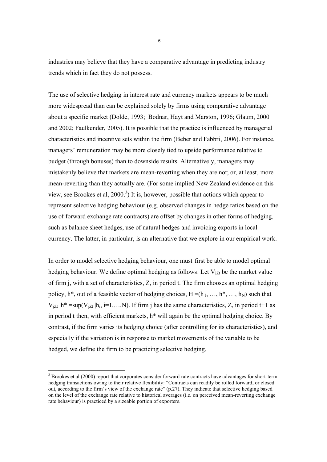industries may believe that they have a comparative advantage in predicting industry trends which in fact they do not possess.

The use of selective hedging in interest rate and currency markets appears to be much more widespread than can be explained solely by firms using comparative advantage about a specific market (Dolde, 1993; Bodnar, Hayt and Marston, 1996; Glaum, 2000 and 2002; Faulkender, 2005). It is possible that the practice is influenced by managerial characteristics and incentive sets within the firm (Beber and Fabbri, 2006). For instance, managers' remuneration may be more closely tied to upside performance relative to budget (through bonuses) than to downside results. Alternatively, managers may mistakenly believe that markets are mean-reverting when they are not; or, at least, more mean-reverting than they actually are. (For some implied New Zealand evidence on this view, see Brookes et al,  $2000<sup>3</sup>$ ) It is, however, possible that actions which appear to represent selective hedging behaviour (e.g. observed changes in hedge ratios based on the use of forward exchange rate contracts) are offset by changes in other forms of hedging, such as balance sheet hedges, use of natural hedges and invoicing exports in local currency. The latter, in particular, is an alternative that we explore in our empirical work.

In order to model selective hedging behaviour, one must first be able to model optimal hedging behaviour. We define optimal hedging as follows: Let  $V_{iZt}$  be the market value of firm j, with a set of characteristics, Z, in period t. The firm chooses an optimal hedging policy,  $h^*$ , out of a feasible vector of hedging choices,  $H = (h_1, ..., h^*, ..., h_N)$  such that  $V_{iZt}$  |h<sup>\*</sup> =sup( $V_{iZt}$  |h<sub>i</sub>, i=1,…,N). If firm j has the same characteristics, Z, in period t+1 as in period t then, with efficient markets, h\* will again be the optimal hedging choice. By contrast, if the firm varies its hedging choice (after controlling for its characteristics), and especially if the variation is in response to market movements of the variable to be hedged, we define the firm to be practicing selective hedging.

-

 $3$  Brookes et al (2000) report that corporates consider forward rate contracts have advantages for short-term hedging transactions owing to their relative flexibility: "Contracts can readily be rolled forward, or closed out, according to the firm's view of the exchange rate" (p.27). They indicate that selective hedging based on the level of the exchange rate relative to historical averages (i.e. on perceived mean-reverting exchange rate behaviour) is practiced by a sizeable portion of exporters.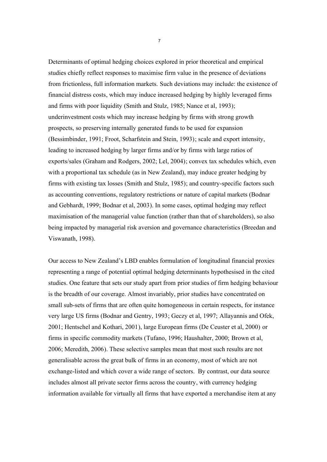Determinants of optimal hedging choices explored in prior theoretical and empirical studies chiefly reflect responses to maximise firm value in the presence of deviations from frictionless, full information markets. Such deviations may include: the existence of financial distress costs, which may induce increased hedging by highly leveraged firms and firms with poor liquidity (Smith and Stulz, 1985; Nance et al, 1993); underinvestment costs which may increase hedging by firms with strong growth prospects, so preserving internally generated funds to be used for expansion (Bessimbinder, 1991; Froot, Scharfstein and Stein, 1993); scale and export intensity, leading to increased hedging by larger firms and/or by firms with large ratios of exports/sales (Graham and Rodgers, 2002; Lel, 2004); convex tax schedules which, even with a proportional tax schedule (as in New Zealand), may induce greater hedging by firms with existing tax losses (Smith and Stulz, 1985); and country-specific factors such as accounting conventions, regulatory restrictions or nature of capital markets (Bodnar and Gebhardt, 1999; Bodnar et al, 2003). In some cases, optimal hedging may reflect maximisation of the managerial value function (rather than that of shareholders), so also being impacted by managerial risk aversion and governance characteristics (Breedan and Viswanath, 1998).

Our access to New Zealand's LBD enables formulation of longitudinal financial proxies representing a range of potential optimal hedging determinants hypothesised in the cited studies. One feature that sets our study apart from prior studies of firm hedging behaviour is the breadth of our coverage. Almost invariably, prior studies have concentrated on small sub-sets of firms that are often quite homogeneous in certain respects, for instance very large US firms (Bodnar and Gentry, 1993; Geczy et al, 1997; Allayannis and Ofek, 2001; Hentschel and Kothari, 2001), large European firms (De Ceuster et al, 2000) or firms in specific commodity markets (Tufano, 1996; Haushalter, 2000; Brown et al, 2006; Meredith, 2006). These selective samples mean that most such results are not generalisable across the great bulk of firms in an economy, most of which are not exchange-listed and which cover a wide range of sectors. By contrast, our data source includes almost all private sector firms across the country, with currency hedging information available for virtually all firms that have exported a merchandise item at any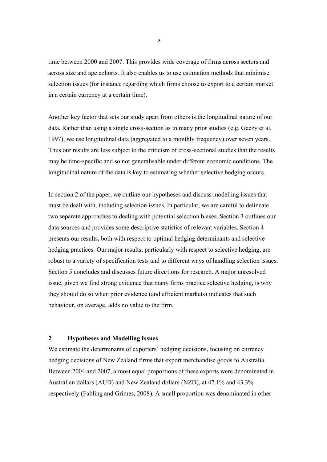time between 2000 and 2007. This provides wide coverage of firms across sectors and across size and age cohorts. It also enables us to use estimation methods that minimise selection issues (for instance regarding which firms choose to export to a certain market in a certain currency at a certain time).

Another key factor that sets our study apart from others is the longitudinal nature of our data. Rather than using a single cross-section as in many prior studies (e.g. Geczy et al, 1997), we use longitudinal data (aggregated to a monthly frequency) over seven years. Thus our results are less subject to the criticism of cross-sectional studies that the results may be time-specific and so not generalisable under different economic conditions. The longitudinal nature of the data is key to estimating whether selective hedging occurs.

In section 2 of the paper, we outline our hypotheses and discuss modelling issues that must be dealt with, including selection issues. In particular, we are careful to delineate two separate approaches to dealing with potential selection biases. Section 3 outlines our data sources and provides some descriptive statistics of relevant variables. Section 4 presents our results, both with respect to optimal hedging determinants and selective hedging practices. Our major results, particularly with respect to selective hedging, are robust to a variety of specification tests and to different ways of handling selection issues. Section 5 concludes and discusses future directions for research. A major unresolved issue, given we find strong evidence that many firms practice selective hedging, is why they should do so when prior evidence (and efficient markets) indicates that such behaviour, on average, adds no value to the firm.

### **2 Hypotheses and Modelling Issues**

We estimate the determinants of exporters' hedging decisions, focusing on currency hedging decisions of New Zealand firms that export merchandise goods to Australia. Between 2004 and 2007, almost equal proportions of these exports were denominated in Australian dollars (AUD) and New Zealand dollars (NZD), at 47.1% and 43.3% respectively (Fabling and Grimes, 2008). A small proportion was denominated in other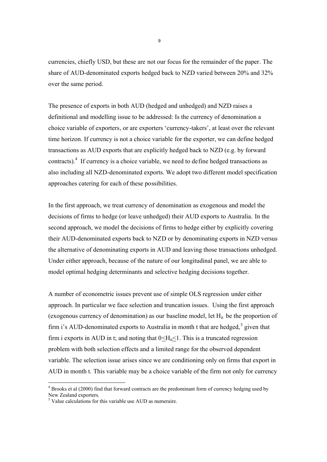currencies, chiefly USD, but these are not our focus for the remainder of the paper. The share of AUD-denominated exports hedged back to NZD varied between 20% and 32% over the same period.

The presence of exports in both AUD (hedged and unhedged) and NZD raises a definitional and modelling issue to be addressed: Is the currency of denomination a choice variable of exporters, or are exporters 'currency-takers', at least over the relevant time horizon. If currency is not a choice variable for the exporter, we can define hedged transactions as AUD exports that are explicitly hedged back to NZD (e.g. by forward contracts).<sup>4</sup> If currency is a choice variable, we need to define hedged transactions as also including all NZD-denominated exports. We adopt two different model specification approaches catering for each of these possibilities.

In the first approach, we treat currency of denomination as exogenous and model the decisions of firms to hedge (or leave unhedged) their AUD exports to Australia. In the second approach, we model the decisions of firms to hedge either by explicitly covering their AUD-denominated exports back to NZD or by denominating exports in NZD versus the alternative of denominating exports in AUD and leaving those transactions unhedged. Under either approach, because of the nature of our longitudinal panel, we are able to model optimal hedging determinants and selective hedging decisions together.

A number of econometric issues prevent use of simple OLS regression under either approach. In particular we face selection and truncation issues. Using the first approach (exogenous currency of denomination) as our baseline model, let  $H<sub>it</sub>$  be the proportion of firm i's AUD-denominated exports to Australia in month t that are hedged,<sup>5</sup> given that firm i exports in AUD in t; and noting that  $0 \leq H_{it} \leq 1$ . This is a truncated regression problem with both selection effects and a limited range for the observed dependent variable. The selection issue arises since we are conditioning only on firms that export in AUD in month t. This variable may be a choice variable of the firm not only for currency

-

<sup>&</sup>lt;sup>4</sup> Brooks et al (2000) find that forward contracts are the predominant form of currency hedging used by New Zealand exporters.

 $<sup>5</sup>$  Value calculations for this variable use AUD as numeraire.</sup>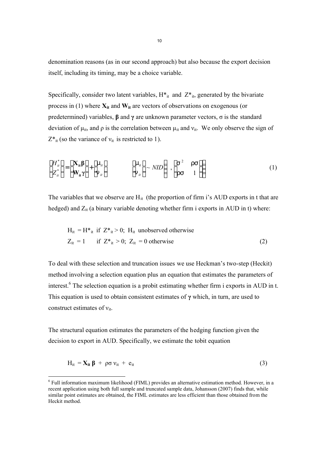denomination reasons (as in our second approach) but also because the export decision itself, including its timing, may be a choice variable.

Specifically, consider two latent variables,  $H^*_{it}$  and  $Z^*_{it}$ , generated by the bivariate process in (1) where  $\mathbf{X}_{it}$  and  $\mathbf{W}_{it}$  are vectors of observations on exogenous (or predetermined) variables, **β** and **γ** are unknown parameter vectors, σ is the standard deviation of  $\mu_{it}$ , and  $\rho$  is the correlation between  $\mu_{it}$  and  $v_{it}$ . We only observe the sign of  $Z^*$ <sub>it</sub> (so the variance of  $v_{it}$  is restricted to 1).

$$
\begin{bmatrix} H_u^* \\ Z_u^* \end{bmatrix} = \begin{bmatrix} \mathbf{X}_{it} \boldsymbol{\beta} \\ \mathbf{W}_{it} \boldsymbol{\gamma} \end{bmatrix} + \begin{bmatrix} m_u \\ n_u \end{bmatrix} \qquad \qquad \begin{bmatrix} m_u \\ n_u \end{bmatrix} \sim NID \begin{bmatrix} S^2 & TS \\ TS & 1 \end{bmatrix} \qquad (1)
$$

The variables that we observe are  $H_{it}$  (the proportion of firm i's AUD exports in t that are hedged) and  $Z_{it}$  (a binary variable denoting whether firm i exports in AUD in t) where:

$$
H_{it} = H^*_{it} \text{ if } Z^*_{it} > 0; H_{it} \text{ unobserved otherwise}
$$
  
\n
$$
Z_{it} = 1 \qquad \text{if } Z^*_{it} > 0; Z_{it} = 0 \text{ otherwise}
$$
 (2)

To deal with these selection and truncation issues we use Heckman's two-step (Heckit) method involving a selection equation plus an equation that estimates the parameters of interest.<sup>6</sup> The selection equation is a probit estimating whether firm i exports in AUD in t. This equation is used to obtain consistent estimates of **γ** which, in turn, are used to construct estimates of  $v_{it}$ .

The structural equation estimates the parameters of the hedging function given the decision to export in AUD. Specifically, we estimate the tobit equation

$$
H_{it} = X_{it} \beta + \rho \sigma v_{it} + e_{it}
$$
 (3)

<sup>&</sup>lt;sup>6</sup> Full information maximum likelihood (FIML) provides an alternative estimation method. However, in a recent application using both full sample and truncated sample data, Johansson (2007) finds that, while similar point estimates are obtained, the FIML estimates are less efficient than those obtained from the Heckit method.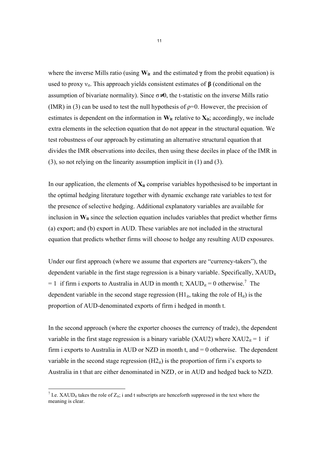where the inverse Mills ratio (using  $W_{it}$  and the estimated  $\gamma$  from the probit equation) is used to proxy  $v_{it}$ . This approach yields consistent estimates of **β** (conditional on the assumption of bivariate normality). Since  $\sigma \neq 0$ , the t-statistic on the inverse Mills ratio (IMR) in (3) can be used to test the null hypothesis of  $p=0$ . However, the precision of estimates is dependent on the information in  $W_{it}$  relative to  $X_{it}$ ; accordingly, we include extra elements in the selection equation that do not appear in the structural equation. We test robustness of our approach by estimating an alternative structural equation that divides the IMR observations into deciles, then using these deciles in place of the IMR in (3), so not relying on the linearity assumption implicit in (1) and (3).

In our application, the elements of  $X_{it}$  comprise variables hypothesised to be important in the optimal hedging literature together with dynamic exchange rate variables to test for the presence of selective hedging. Additional explanatory variables are available for inclusion in  $W_{it}$  since the selection equation includes variables that predict whether firms (a) export; and (b) export in AUD. These variables are not included in the structural equation that predicts whether firms will choose to hedge any resulting AUD exposures.

Under our first approach (where we assume that exporters are "currency-takers"), the dependent variable in the first stage regression is a binary variable. Specifically, XAUD<sub>it</sub> = 1 if firm i exports to Australia in AUD in month t;  $XAUD_{it} = 0$  otherwise.<sup>7</sup> The dependent variable in the second stage regression  $(H1_{it},)$  taking the role of  $H_{it}$ ) is the proportion of AUD-denominated exports of firm i hedged in month t.

In the second approach (where the exporter chooses the currency of trade), the dependent variable in the first stage regression is a binary variable (XAU2) where  $XAU2_{it} = 1$  if firm i exports to Australia in AUD or NZD in month t, and  $= 0$  otherwise. The dependent variable in the second stage regression  $(H2_{it})$  is the proportion of firm i's exports to Australia in t that are either denominated in NZD, or in AUD and hedged back to NZD.

<sup>&</sup>lt;sup>7</sup> I.e. XAUD<sub>it</sub> takes the role of  $Z_{it}$ ; i and t subscripts are henceforth suppressed in the text where the meaning is clear.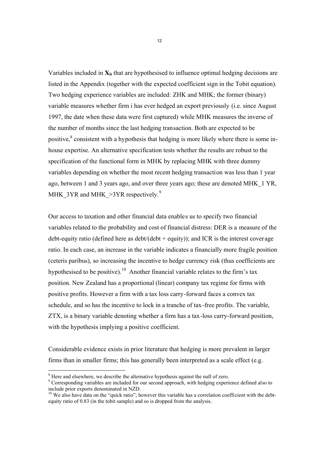Variables included in  $X_{it}$  that are hypothesised to influence optimal hedging decisions are listed in the Appendix (together with the expected coefficient sign in the Tobit equation). Two hedging experience variables are included: ZHK and MHK; the former (binary) variable measures whether firm i has ever hedged an export previously (i.e. since August 1997, the date when these data were first captured) while MHK measures the inverse of the number of months since the last hedging transaction. Both are expected to be positive,<sup>8</sup> consistent with a hypothesis that hedging is more likely where there is some inhouse expertise. An alternative specification tests whether the results are robust to the specification of the functional form in MHK by replacing MHK with three dummy variables depending on whether the most recent hedging transaction was less than 1 year ago, between 1 and 3 years ago, and over three years ago; these are denoted MHK\_1 YR, MHK\_3YR and MHK\_ $>3YR$  respectively.<sup>9</sup>

Our access to taxation and other financial data enables us to specify two financial variables related to the probability and cost of financial distress: DER is a measure of the debt-equity ratio (defined here as  $\frac{debt}{debt} + \frac{equity}{c}$ ); and ICR is the interest coverage ratio. In each case, an increase in the variable indicates a financially more fragile position (ceteris paribus), so increasing the incentive to hedge currency risk (thus coefficients are hypothesised to be positive).<sup>10</sup> Another financial variable relates to the firm's tax position. New Zealand has a proportional (linear) company tax regime for firms with positive profits. However a firm with a tax loss carry-forward faces a convex tax schedule, and so has the incentive to lock in a tranche of tax-free profits. The variable, ZTX, is a binary variable denoting whether a firm has a tax-loss carry-forward position, with the hypothesis implying a positive coefficient.

Considerable evidence exists in prior literature that hedging is more prevalent in larger firms than in smaller firms; this has generally been interpreted as a scale effect (e.g.

<sup>&</sup>lt;sup>8</sup> Here and elsewhere, we describe the alternative hypothesis against the null of zero.

<sup>&</sup>lt;sup>9</sup> Corresponding variables are included for our second approach, with hedging experience defined also to include prior exports denominated in NZD.

<sup>&</sup>lt;sup>10</sup> We also have data on the "quick ratio"; however this variable has a correlation coefficient with the debtequity ratio of 0.83 (in the tobit sample) and so is dropped from the analysis.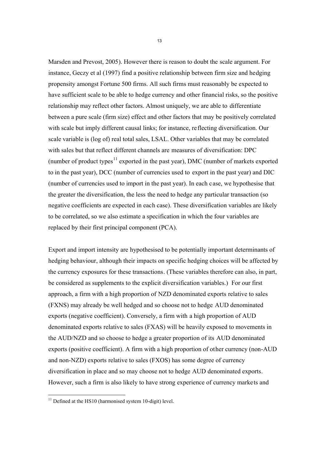Marsden and Prevost, 2005). However there is reason to doubt the scale argument. For instance, Geczy et al (1997) find a positive relationship between firm size and hedging propensity amongst Fortune 500 firms. All such firms must reasonably be expected to have sufficient scale to be able to hedge currency and other financial risks, so the positive relationship may reflect other factors. Almost uniquely, we are able to differentiate between a pure scale (firm size) effect and other factors that may be positively correlated with scale but imply different causal links; for instance, reflecting diversification. Our scale variable is (log of) real total sales, LSAL. Other variables that may be correlated with sales but that reflect different channels are measures of diversification: DPC (number of product types<sup>11</sup> exported in the past year), DMC (number of markets exported to in the past year), DCC (number of currencies used to export in the past year) and DIC (number of currencies used to import in the past year). In each case, we hypothesise that the greater the diversification, the less the need to hedge any particular transaction (so negative coefficients are expected in each case). These diversification variables are likely to be correlated, so we also estimate a specification in which the four variables are replaced by their first principal component (PCA).

Export and import intensity are hypothesised to be potentially important determinants of hedging behaviour, although their impacts on specific hedging choices will be affected by the currency exposures for these transactions. (These variables therefore can also, in part, be considered as supplements to the explicit diversification variables.) For our first approach, a firm with a high proportion of NZD denominated exports relative to sales (FXNS) may already be well hedged and so choose not to hedge AUD denominated exports (negative coefficient). Conversely, a firm with a high proportion of AUD denominated exports relative to sales (FXAS) will be heavily exposed to movements in the AUD/NZD and so choose to hedge a greater proportion of its AUD denominated exports (positive coefficient). A firm with a high proportion of other currency (non-AUD and non-NZD) exports relative to sales (FXOS) has some degree of currency diversification in place and so may choose not to hedge AUD denominated exports. However, such a firm is also likely to have strong experience of currency markets and

 $11$  Defined at the HS10 (harmonised system 10-digit) level.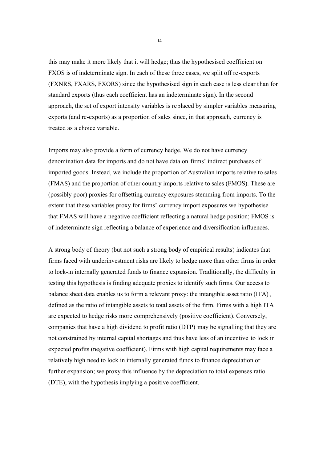this may make it more likely that it will hedge; thus the hypothesised coefficient on FXOS is of indeterminate sign. In each of these three cases, we split off re-exports (FXNRS, FXARS, FXORS) since the hypothesised sign in each case is less clear than for standard exports (thus each coefficient has an indeterminate sign). In the second approach, the set of export intensity variables is replaced by simpler variables measuring exports (and re-exports) as a proportion of sales since, in that approach, currency is treated as a choice variable.

Imports may also provide a form of currency hedge. We do not have currency denomination data for imports and do not have data on firms' indirect purchases of imported goods. Instead, we include the proportion of Australian imports relative to sales (FMAS) and the proportion of other country imports relative to sales (FMOS). These are (possibly poor) proxies for offsetting currency exposures stemming from imports. To the extent that these variables proxy for firms' currency import exposures we hypothesise that FMAS will have a negative coefficient reflecting a natural hedge position; FMOS is of indeterminate sign reflecting a balance of experience and diversification influences.

A strong body of theory (but not such a strong body of empirical results) indicates that firms faced with underinvestment risks are likely to hedge more than other firms in order to lock-in internally generated funds to finance expansion. Traditionally, the difficulty in testing this hypothesis is finding adequate proxies to identify such firms. Our access to balance sheet data enables us to form a relevant proxy: the intangible asset ratio (ITA), defined as the ratio of intangible assets to total assets of the firm. Firms with a high ITA are expected to hedge risks more comprehensively (positive coefficient). Conversely, companies that have a high dividend to profit ratio (DTP) may be signalling that they are not constrained by internal capital shortages and thus have less of an incentive to lock in expected profits (negative coefficient). Firms with high capital requirements may face a relatively high need to lock in internally generated funds to finance depreciation or further expansion; we proxy this influence by the depreciation to total expenses ratio (DTE), with the hypothesis implying a positive coefficient.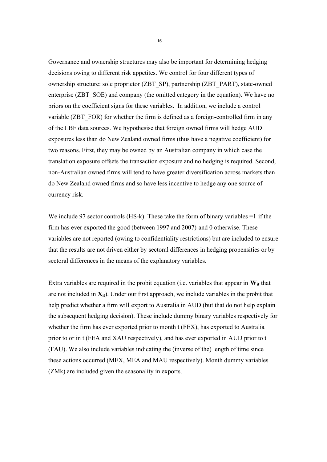Governance and ownership structures may also be important for determining hedging decisions owing to different risk appetites. We control for four different types of ownership structure: sole proprietor (ZBT\_SP), partnership (ZBT\_PART), state-owned enterprise (ZBT\_SOE) and company (the omitted category in the equation). We have no priors on the coefficient signs for these variables. In addition, we include a control variable (ZBT\_FOR) for whether the firm is defined as a foreign-controlled firm in any of the LBF data sources. We hypothesise that foreign owned firms will hedge AUD exposures less than do New Zealand owned firms (thus have a negative coefficient) for two reasons. First, they may be owned by an Australian company in which case the translation exposure offsets the transaction exposure and no hedging is required. Second, non-Australian owned firms will tend to have greater diversification across markets than do New Zealand owned firms and so have less incentive to hedge any one source of currency risk.

We include 97 sector controls (HS-k). These take the form of binary variables  $=1$  if the firm has ever exported the good (between 1997 and 2007) and 0 otherwise. These variables are not reported (owing to confidentiality restrictions) but are included to ensure that the results are not driven either by sectoral differences in hedging propensities or by sectoral differences in the means of the explanatory variables.

Extra variables are required in the probit equation (i.e. variables that appear in  $W_{it}$  that are not included in  $X_i$ . Under our first approach, we include variables in the probit that help predict whether a firm will export to Australia in AUD (but that do not help explain the subsequent hedging decision). These include dummy binary variables respectively for whether the firm has ever exported prior to month t (FEX), has exported to Australia prior to or in t (FEA and XAU respectively), and has ever exported in AUD prior to t (FAU). We also include variables indicating the (inverse of the) length of time since these actions occurred (MEX, MEA and MAU respectively). Month dummy variables (ZMk) are included given the seasonality in exports.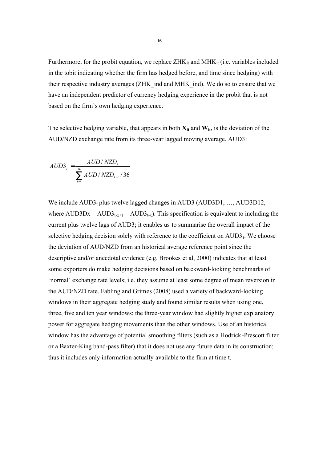Furthermore, for the probit equation, we replace  $ZHK_{it}$  and  $MHK_{it}$  (i.e. variables included in the tobit indicating whether the firm has hedged before, and time since hedging) with their respective industry averages (ZHK\_ind and MHK\_ind). We do so to ensure that we have an independent predictor of currency hedging experience in the probit that is not based on the firm's own hedging experience.

The selective hedging variable, that appears in both  $X_{it}$  and  $W_{it}$ , is the deviation of the AUD/NZD exchange rate from its three-year lagged moving average, AUD3:

$$
AUD3_t = \frac{AUD / NZD_t}{\sum_{i=1}^{36} AUD / NZD_{t-i} / 36}
$$

We include  $AUD3<sub>t</sub>$  plus twelve lagged changes in AUD3 (AUD3D1, ..., AUD3D12, where  $AUD3Dx = AUD3<sub>t-x+1</sub> - AUD3<sub>t-x</sub>$ ). This specification is equivalent to including the current plus twelve lags of AUD3; it enables us to summarise the overall impact of the selective hedging decision solely with reference to the coefficient on  $\text{AUD3}_t$ . We choose the deviation of AUD/NZD from an historical average reference point since the descriptive and/or anecdotal evidence (e.g. Brookes et al, 2000) indicates that at least some exporters do make hedging decisions based on backward-looking benchmarks of 'normal' exchange rate levels; i.e. they assume at least some degree of mean reversion in the AUD/NZD rate. Fabling and Grimes (2008) used a variety of backward-looking windows in their aggregate hedging study and found similar results when using one, three, five and ten year windows; the three-year window had slightly higher explanatory power for aggregate hedging movements than the other windows. Use of an historical window has the advantage of potential smoothing filters (such as a Hodrick-Prescott filter or a Baxter-King band-pass filter) that it does not use any future data in its construction; thus it includes only information actually available to the firm at time t.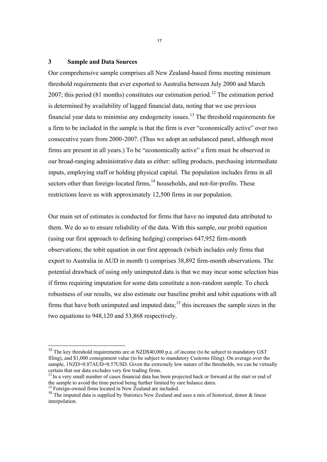#### **3 Sample and Data Sources**

Our comprehensive sample comprises all New Zealand-based firms meeting minimum threshold requirements that ever exported to Australia between July 2000 and March 2007; this period (81 months) constitutes our estimation period.<sup>12</sup> The estimation period is determined by availability of lagged financial data, noting that we use previous financial year data to minimise any endogeneity issues.<sup>13</sup> The threshold requirements for a firm to be included in the sample is that the firm is ever "economically active" over two consecutive years from 2000-2007. (Thus we adopt an unbalanced panel, although most firms are present in all years.) To be "economically active" a firm must be observed in our broad-ranging administrative data as either: selling products, purchasing intermediate inputs, employing staff or holding physical capital. The population includes firms in all sectors other than foreign-located firms,<sup>14</sup> households, and not-for-profits. These restrictions leave us with approximately 12,500 firms in our population.

Our main set of estimates is conducted for firms that have no imputed data attributed to them. We do so to ensure reliability of the data. With this sample, our probit equation (using our first approach to defining hedging) comprises 647,952 firm-month observations; the tobit equation in our first approach (which includes only firms that export to Australia in AUD in month t) comprises 38,892 firm-month observations. The potential drawback of using only unimputed data is that we may incur some selection bias if firms requiring imputation for some data constitute a non-random sample. To check robustness of our results, we also estimate our baseline probit and tobit equations with all firms that have both unimputed and imputed data;  $15$  this increases the sample sizes in the two equations to 948,120 and 53,868 respectively.

 $\overline{a}$ 

 $12$  The key threshold requirements are at NZD\$40,000 p.a. of income (to be subject to mandatory GST filing), and \$1,000 consignment value (to be subject to mandatory Customs filing). On average over the sample, 1NZD=0.87AUD=0.57USD. Given the extremely low nature of the thresholds, we can be virtually certain that our data excludes very few trading firms.

<sup>&</sup>lt;sup>13</sup> In a very small number of cases financial data has been projected back or forward at the start or end of the sample to avoid the time period being further limited by rare balance dates.

<sup>&</sup>lt;sup>14</sup> Foreign-owned firms located in New Zealand are included.

<sup>&</sup>lt;sup>15</sup> The imputed data is supplied by Statistics New Zealand and uses a mix of historical, donor & linear interpolation.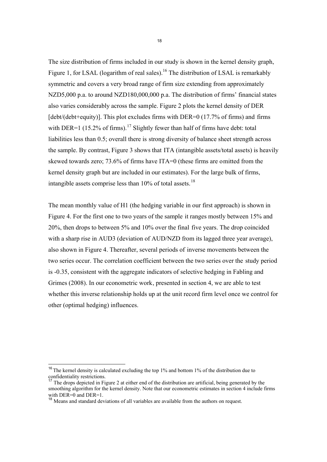The size distribution of firms included in our study is shown in the kernel density graph, Figure 1, for LSAL (logarithm of real sales).<sup>16</sup> The distribution of LSAL is remarkably symmetric and covers a very broad range of firm size extending from approximately NZD5,000 p.a. to around NZD180,000,000 p.a. The distribution of firms' financial states also varies considerably across the sample. Figure 2 plots the kernel density of DER [debt/(debt+equity)]. This plot excludes firms with DER=0 (17.7% of firms) and firms with DER=1 (15.2% of firms).<sup>17</sup> Slightly fewer than half of firms have debt: total liabilities less than 0.5; overall there is strong diversity of balance sheet strength across the sample. By contrast, Figure 3 shows that ITA (intangible assets/total assets) is heavily skewed towards zero; 73.6% of firms have ITA=0 (these firms are omitted from the kernel density graph but are included in our estimates). For the large bulk of firms, intangible assets comprise less than  $10\%$  of total assets.<sup>18</sup>

The mean monthly value of H1 (the hedging variable in our first approach) is shown in Figure 4. For the first one to two years of the sample it ranges mostly between 15% and 20%, then drops to between 5% and 10% over the final five years. The drop coincided with a sharp rise in AUD3 (deviation of AUD/NZD from its lagged three year average), also shown in Figure 4. Thereafter, several periods of inverse movements between the two series occur. The correlation coefficient between the two series over the study period is -0.35, consistent with the aggregate indicators of selective hedging in Fabling and Grimes (2008). In our econometric work, presented in section 4, we are able to test whether this inverse relationship holds up at the unit record firm level once we control for other (optimal hedging) influences.

 $\overline{\phantom{a}}$ 

<sup>&</sup>lt;sup>16</sup> The kernel density is calculated excluding the top 1% and bottom 1% of the distribution due to confidentiality restrictions.

<sup>17</sup> The drops depicted in Figure 2 at either end of the distribution are artificial, being generated by the smoothing algorithm for the kernel density. Note that our econometric estimates in section 4 include firms with  $DER=0$  and  $DER=1$ .

<sup>&</sup>lt;sup>18</sup> Means and standard deviations of all variables are available from the authors on request.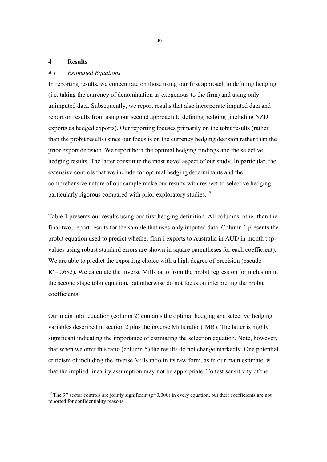#### **4 Results**

-

#### *4.1 Estimated Equations*

In reporting results, we concentrate on those using our first approach to defining hedging (i.e. taking the currency of denomination as exogenous to the firm) and using only unimputed data. Subsequently, we report results that also incorporate imputed data and report on results from using our second approach to defining hedging (including NZD exports as hedged exports). Our reporting focuses primarily on the tobit results (rather than the probit results) since our focus is on the currency hedging decision rather than the prior export decision. We report both the optimal hedging findings and the selective hedging results. The latter constitute the most novel aspect of our study. In particular, the extensive controls that we include for optimal hedging determinants and the comprehensive nature of our sample make our results with respect to selective hedging particularly rigorous compared with prior exploratory studies.<sup>19</sup>

Table 1 presents our results using our first hedging definition. All columns, other than the final two, report results for the sample that uses only imputed data. Column 1 presents the probit equation used to predict whether firm i exports to Australia in AUD in month t (pvalues using robust standard errors are shown in square parentheses for each coefficient). We are able to predict the exporting choice with a high degree of precision (pseudo- $R^2$ =0.682). We calculate the inverse Mills ratio from the probit regression for inclusion in the second stage tobit equation, but otherwise do not focus on interpreting the probit coefficients.

Our main tobit equation (column 2) contains the optimal hedging and selective hedging variables described in section 2 plus the inverse Mills ratio (IMR). The latter is highly significant indicating the importance of estimating the selection equation. Note, however, that when we omit this ratio (column 5) the results do not change markedly. One potential criticism of including the inverse Mills ratio in its raw form, as in our main estimate, is that the implied linearity assumption may not be appropriate. To test sensitivity of the

<sup>&</sup>lt;sup>19</sup> The 97 sector controls are jointly significant ( $p=0.000$ ) in every equation, but their coefficients are not reported for confidentiality reasons.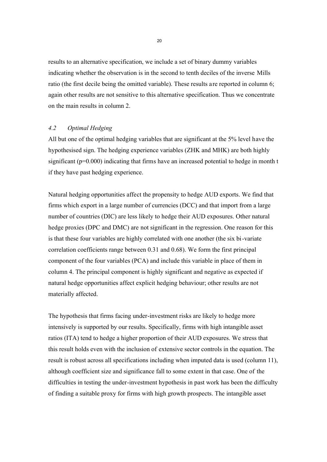results to an alternative specification, we include a set of binary dummy variables indicating whether the observation is in the second to tenth deciles of the inverse Mills ratio (the first decile being the omitted variable). These results are reported in column 6; again other results are not sensitive to this alternative specification. Thus we concentrate on the main results in column 2.

### *4.2 Optimal Hedging*

All but one of the optimal hedging variables that are significant at the 5% level have the hypothesised sign. The hedging experience variables (ZHK and MHK) are both highly significant (p=0.000) indicating that firms have an increased potential to hedge in month t if they have past hedging experience.

Natural hedging opportunities affect the propensity to hedge AUD exports. We find that firms which export in a large number of currencies (DCC) and that import from a large number of countries (DIC) are less likely to hedge their AUD exposures. Other natural hedge proxies (DPC and DMC) are not significant in the regression. One reason for this is that these four variables are highly correlated with one another (the six bi-variate correlation coefficients range between 0.31 and 0.68). We form the first principal component of the four variables (PCA) and include this variable in place of them in column 4. The principal component is highly significant and negative as expected if natural hedge opportunities affect explicit hedging behaviour; other results are not materially affected.

The hypothesis that firms facing under-investment risks are likely to hedge more intensively is supported by our results. Specifically, firms with high intangible asset ratios (ITA) tend to hedge a higher proportion of their AUD exposures. We stress that this result holds even with the inclusion of extensive sector controls in the equation. The result is robust across all specifications including when imputed data is used (column 11), although coefficient size and significance fall to some extent in that case. One of the difficulties in testing the under-investment hypothesis in past work has been the difficulty of finding a suitable proxy for firms with high growth prospects. The intangible asset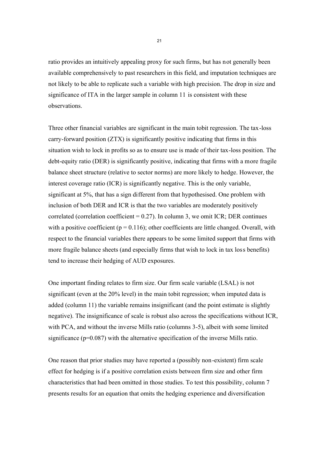ratio provides an intuitively appealing proxy for such firms, but has not generally been available comprehensively to past researchers in this field, and imputation techniques are not likely to be able to replicate such a variable with high precision. The drop in size and significance of ITA in the larger sample in column 11 is consistent with these observations.

Three other financial variables are significant in the main tobit regression. The tax-loss carry-forward position (ZTX) is significantly positive indicating that firms in this situation wish to lock in profits so as to ensure use is made of their tax-loss position. The debt-equity ratio (DER) is significantly positive, indicating that firms with a more fragile balance sheet structure (relative to sector norms) are more likely to hedge. However, the interest coverage ratio (ICR) is significantly negative. This is the only variable, significant at 5%, that has a sign different from that hypothesised. One problem with inclusion of both DER and ICR is that the two variables are moderately positively correlated (correlation coefficient  $= 0.27$ ). In column 3, we omit ICR; DER continues with a positive coefficient ( $p = 0.116$ ); other coefficients are little changed. Overall, with respect to the financial variables there appears to be some limited support that firms with more fragile balance sheets (and especially firms that wish to lock in tax loss benefits) tend to increase their hedging of AUD exposures.

One important finding relates to firm size. Our firm scale variable (LSAL) is not significant (even at the 20% level) in the main tobit regression; when imputed data is added (column 11) the variable remains insignificant (and the point estimate is slightly negative). The insignificance of scale is robust also across the specifications without ICR, with PCA, and without the inverse Mills ratio (columns 3-5), albeit with some limited significance (p=0.087) with the alternative specification of the inverse Mills ratio.

One reason that prior studies may have reported a (possibly non-existent) firm scale effect for hedging is if a positive correlation exists between firm size and other firm characteristics that had been omitted in those studies. To test this possibility, column 7 presents results for an equation that omits the hedging experience and diversification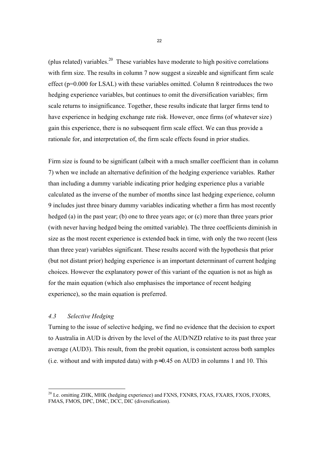(plus related) variables.<sup>20</sup> These variables have moderate to high positive correlations with firm size. The results in column 7 now suggest a sizeable and significant firm scale effect (p=0.000 for LSAL) with these variables omitted. Column 8 reintroduces the two hedging experience variables, but continues to omit the diversification variables; firm scale returns to insignificance. Together, these results indicate that larger firms tend to have experience in hedging exchange rate risk. However, once firms (of whatever size) gain this experience, there is no subsequent firm scale effect. We can thus provide a rationale for, and interpretation of, the firm scale effects found in prior studies.

Firm size is found to be significant (albeit with a much smaller coefficient than in column 7) when we include an alternative definition of the hedging experience variables. Rather than including a dummy variable indicating prior hedging experience plus a variable calculated as the inverse of the number of months since last hedging experience, column 9 includes just three binary dummy variables indicating whether a firm has most recently hedged (a) in the past year; (b) one to three years ago; or (c) more than three years prior (with never having hedged being the omitted variable). The three coefficients diminish in size as the most recent experience is extended back in time, with only the two recent (less than three year) variables significant. These results accord with the hypothesis that prior (but not distant prior) hedging experience is an important determinant of current hedging choices. However the explanatory power of this variant of the equation is not as high as for the main equation (which also emphasises the importance of recent hedging experience), so the main equation is preferred.

#### *4.3 Selective Hedging*

-

Turning to the issue of selective hedging, we find no evidence that the decision to export to Australia in AUD is driven by the level of the AUD/NZD relative to its past three year average (AUD3). This result, from the probit equation, is consistent across both samples (i.e. without and with imputed data) with  $p \approx 0.45$  on AUD3 in columns 1 and 10. This

<sup>&</sup>lt;sup>20</sup> I.e. omitting ZHK, MHK (hedging experience) and FXNS, FXNRS, FXAS, FXARS, FXOS, FXORS, FMAS, FMOS, DPC, DMC, DCC, DIC (diversification).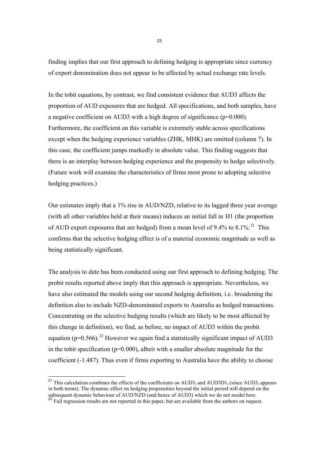finding implies that our first approach to defining hedging is appropriate since currency of export denomination does not appear to be affected by actual exchange rate levels.

In the tobit equations, by contrast, we find consistent evidence that AUD3 affects the proportion of AUD exposures that are hedged. All specifications, and both samples, have a negative coefficient on AUD3 with a high degree of significance (p=0.000). Furthermore, the coefficient on this variable is extremely stable across specifications except when the hedging experience variables (ZHK, MHK) are omitted (column 7). In this case, the coefficient jumps markedly in absolute value. This finding suggests that there is an interplay between hedging experience and the propensity to hedge selectively. (Future work will examine the characteristics of firms most prone to adopting selective hedging practices.)

Our estimates imply that a 1% rise in  $\text{AUD}/\text{NZD}_t$  relative to its lagged three year average (with all other variables held at their means) induces an initial fall in H1 (the proportion of AUD export exposures that are hedged) from a mean level of 9.4% to  $8.1\%$ <sup>21</sup>. This confirms that the selective hedging effect is of a material economic magnitude as well as being statistically significant.

The analysis to date has been conducted using our first approach to defining hedging. The probit results reported above imply that this approach is appropriate. Nevertheless, we have also estimated the models using our second hedging definition, i.e . broadening the definition also to include NZD-denominated exports to Australia as hedged transactions. Concentrating on the selective hedging results (which are likely to be most affected by this change in definition), we find, as before, no impact of AUD3 within the probit equation ( $p=0.566$ ).<sup>22</sup> However we again find a statistically significant impact of AUD3 in the tobit specification ( $p=0.000$ ), albeit with a smaller absolute magnitude for the coefficient (-1.487). Thus even if firms exporting to Australia have the ability to choose

-

<sup>&</sup>lt;sup>21</sup> This calculation combines the effects of the coefficients on  $\text{AUD3}_t$  and  $\text{AUD3D1}_t$  (since  $\text{AUD3}_t$  appears in both terms). The dynamic effect on hedging propensities beyond the initial period will depend on the subsequent dynamic behaviour of AUD/NZD (and hence of AUD3) which we do not model here.

 $^{22}$  Full regression results are not reported in this paper, but are available from the authors on request.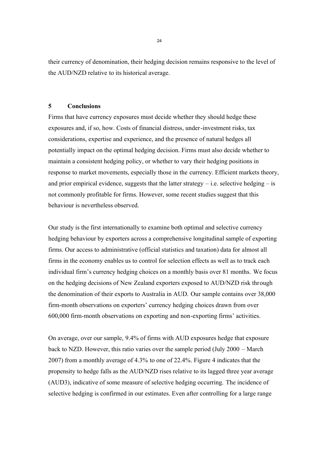their currency of denomination, their hedging decision remains responsive to the level of the AUD/NZD relative to its historical average.

#### **5 Conclusions**

Firms that have currency exposures must decide whether they should hedge these exposures and, if so, how. Costs of financial distress, under-investment risks, tax considerations, expertise and experience, and the presence of natural hedges all potentially impact on the optimal hedging decision. Firms must also decide whether to maintain a consistent hedging policy, or whether to vary their hedging positions in response to market movements, especially those in the currency. Efficient markets theory, and prior empirical evidence, suggests that the latter strategy  $-$  i.e. selective hedging  $-$  is not commonly profitable for firms. However, some recent studies suggest that this behaviour is nevertheless observed.

Our study is the first internationally to examine both optimal and selective currency hedging behaviour by exporters across a comprehensive longitudinal sample of exporting firms. Our access to administrative (official statistics and taxation) data for almost all firms in the economy enables us to control for selection effects as well as to track each individual firm's currency hedging choices on a monthly basis over 81 months. We focus on the hedging decisions of New Zealand exporters exposed to AUD/NZD risk through the denomination of their exports to Australia in AUD. Our sample contains over 38,000 firm-month observations on exporters' currency hedging choices drawn from over 600,000 firm-month observations on exporting and non-exporting firms' activities.

On average, over our sample, 9.4% of firms with AUD exposures hedge that exposure back to NZD. However, this ratio varies over the sample period (July 2000 – March 2007) from a monthly average of 4.3% to one of 22.4%. Figure 4 indicates that the propensity to hedge falls as the AUD/NZD rises relative to its lagged three year average (AUD3), indicative of some measure of selective hedging occurring. The incidence of selective hedging is confirmed in our estimates. Even after controlling for a large range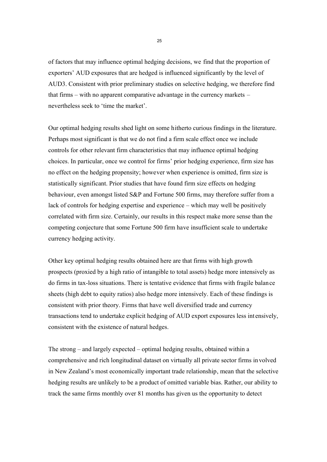of factors that may influence optimal hedging decisions, we find that the proportion of exporters' AUD exposures that are hedged is influenced significantly by the level of AUD3. Consistent with prior preliminary studies on selective hedging, we therefore find that firms – with no apparent comparative advantage in the currency markets – nevertheless seek to 'time the market'.

Our optimal hedging results shed light on some hitherto curious findings in the literature. Perhaps most significant is that we do not find a firm scale effect once we include controls for other relevant firm characteristics that may influence optimal hedging choices. In particular, once we control for firms' prior hedging experience, firm size has no effect on the hedging propensity; however when experience is omitted, firm size is statistically significant. Prior studies that have found firm size effects on hedging behaviour, even amongst listed S&P and Fortune 500 firms, may therefore suffer from a lack of controls for hedging expertise and experience – which may well be positively correlated with firm size. Certainly, our results in this respect make more sense than the competing conjecture that some Fortune 500 firm have insufficient scale to undertake currency hedging activity.

Other key optimal hedging results obtained here are that firms with high growth prospects (proxied by a high ratio of intangible to total assets) hedge more intensively as do firms in tax-loss situations. There is tentative evidence that firms with fragile balance sheets (high debt to equity ratios) also hedge more intensively. Each of these findings is consistent with prior theory. Firms that have well diversified trade and currency transactions tend to undertake explicit hedging of AUD export exposures less int ensively, consistent with the existence of natural hedges.

The strong – and largely expected – optimal hedging results, obtained within a comprehensive and rich longitudinal dataset on virtually all private sector firms in volved in New Zealand's most economically important trade relationship, mean that the selective hedging results are unlikely to be a product of omitted variable bias. Rather, our ability to track the same firms monthly over 81 months has given us the opportunity to detect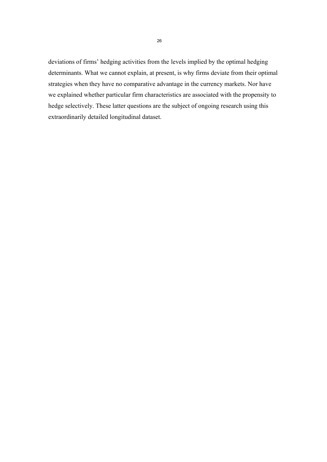deviations of firms' hedging activities from the levels implied by the optimal hedging determinants. What we cannot explain, at present, is why firms deviate from their optimal strategies when they have no comparative advantage in the currency markets. Nor have we explained whether particular firm characteristics are associated with the propensity to hedge selectively. These latter questions are the subject of ongoing research using this extraordinarily detailed longitudinal dataset.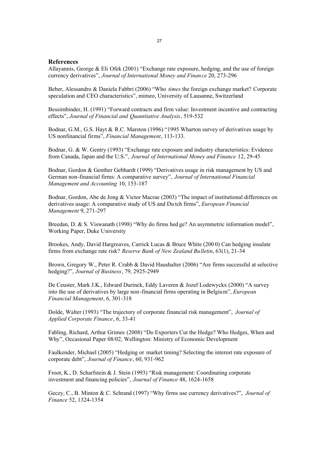#### **References**

Allayannis, George & Eli Ofek (2001) "Exchange rate exposure, hedging, and the use of foreign currency derivatives", *Journal of International Money and Finance* 20, 273-296

Beber, Alessandro & Daniela Fabbri (2006) "Who *times* the foreign exchange market? Corporate speculation and CEO characteristics", mimeo, University of Lausanne, Switzerland

Bessimbinder, H. (1991) "Forward contracts and firm value: Investment incentive and contracting effects", *Journal of Financial and Quantitative Analysis*, 519-532

Bodnar, G.M., G.S. Hayt & R.C. Marston (1996) "1995 Wharton survey of derivatives usage by US nonfinancial firms", *Financial Management*, 113-133.

Bodnar, G. & W. Gentry (1993) "Exchange rate exposure and industry characteristics: Evidence from Canada, Japan and the U.S.", *Journal of International Money and Finance* 12, 29-45

Bodnar, Gordon & Genther Gebhardt (1999) "Derivatives usage in risk management by US and German non-financial firms: A comparative survey", *Journal of International Financial Management and Accounting* 10, 153-187

Bodnar, Gordon, Abe de Jong & Victor Macrae (2003) "The impact of institutional differences on derivatives usage: A comparative study of US and Du tch firms", *European Financial Management* 9, 271-297

Breedan, D. & S. Viswanath (1998) "Why do firms hed ge? An asymmetric information model", Working Paper, Duke University

Brookes, Andy, David Hargreaves, Carrick Lucas & Bruce White (200 0) Can hedging insulate firms from exchange rate risk? *Reserve Bank of New Zealand Bulletin*, 63(1), 21-34

Brown, Gregory W., Peter R. Crabb & David Haushalter (2006) "Are firms successful at selective hedging?", *Journal of Business*, 79, 2925-2949

De Ceuster, Mark J.K., Edward Durinck, Eddy Laveren & Jozef Lodewyckx (2000) "A survey into the use of derivatives by large non-financial firms operating in Belgium", *European Financial Management*, 6, 301-318

Dolde, Walter (1993) "The trajectory of corporate financial risk management", *Journal of Applied Corporate Finance*, 6, 33-41

Fabling, Richard, Arthur Grimes (2008) "Do Exporters Cut the Hedge? Who Hedges, When and Why", Occasional Paper 08/02, Wellington: Ministry of Economic Development

Faulkender, Michael (2005) "Hedging or market timing? Selecting the interest rate exposure of corporate debt", *Journal of Finance*, 60, 931-962

Froot, K., D. Scharfstein & J. Stein (1993) "Risk management: Coordinating corporate investment and financing policies", *Journal of Finance* 48, 1624-1658

Geczy, C., B. Minton & C. Schrand (1997) "Why firms use currency derivatives?", *Journal of Finance* 52, 1324-1354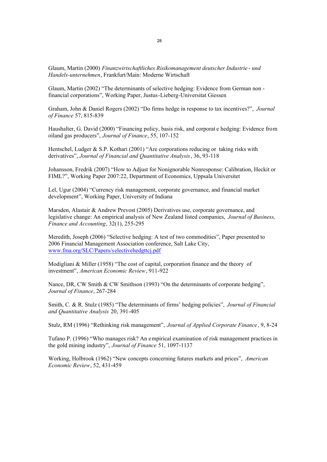Glaum, Martin (2000) *Finanzwirtschaftliches Risikomanagement deutscher Industrie - und Handels-unternehmen*, Frankfurt/Main: Moderne Wirtschaft

Glaum, Martin (2002) "The determinants of selective hedging: Evidence from German non financial corporations", Working Paper, Justus-Lieberg-Universitat Giessen

Graham, John & Daniel Rogers (2002) "Do firms hedge in response to tax incentives?", *Journal of Finance* 57, 815-839

Haushalter, G. David (2000) "Financing policy, basis risk, and corporat e hedging: Evidence from oiland gas producers", *Journal of Finance*, 55, 107-152

Hentschel, Ludger & S.P. Kothari (2001) "Are corporations reducing or taking risks with derivatives", *Journal of Financial and Quantitative Analysis*, 36, 93-118

Johansson, Fredrik (2007) "How to Adjust for Nonignorable Nonresponse: Calibration, Heckit or FIML?", Working Paper 2007:22, Department of Economics, Uppsala Universitet

Lel, Ugur (2004) "Currency risk management, corporate governance, and financial market development", Working Paper, University of Indiana

Marsden, Alastair & Andrew Prevost (2005) Derivatives use, corporate governance, and legislative change: An empirical analysis of New Zealand listed companies, *Journal of Business, Finance and Accounting*, 32(1), 255-295

Meredith, Joseph (2006) "Selective hedging: A test of two commodities", Paper presented to 2006 Financial Management Association conference, Salt Lake City, www.fma.org/SLC/Papers/selectivehedgttcj.pdf

Modigliani & Miller (1958) "The cost of capital, corporation finance and the theory of investment", *American Economic Review*, 911-922

Nance, DR, CW Smith & CW Smithson (1993) "On the determinants of corporate hedging", *Journal of Finance*, 267-284

Smith, C. & R. Stulz (1985) "The determinants of firms' hedging policies", *Journal of Financial and Quantitative Analysis* 20, 391-405

Stulz, RM (1996) "Rethinking risk management", *Journal of Applied Corporate Finance*, 9, 8-24

Tufano P. (1996) "Who manages risk? An empirical examination of risk management practices in the gold mining industry", *Journal of Finance* 51, 1097-1137

Working, Holbrook (1962) "New concepts concerning futures markets and prices", *American Economic Review*, 52, 431-459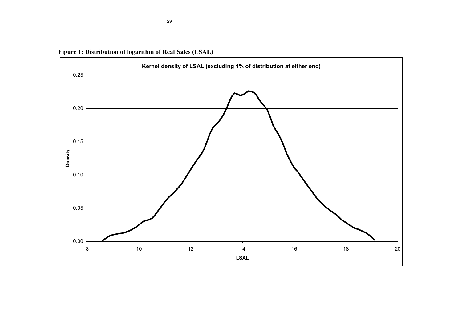

**Figure 1: Distribution of logarithm of Real Sales (LSAL)**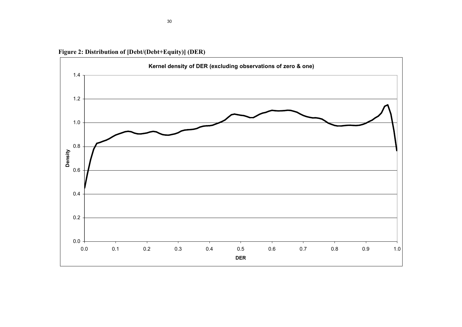**Figure 2: Distribution of [Debt/(Debt+Equity)] (DER)**

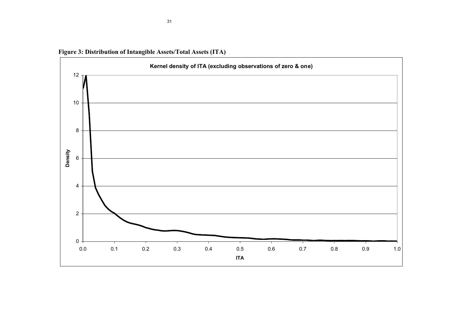

**Figure 3: Distribution of Intangible Assets/Total Assets (ITA)**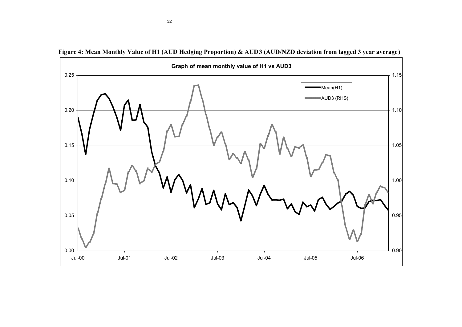

**Figure 4: Mean Monthly Value of H1 (AUD Hedging Proportion) & AUD3 (AUD/NZD deviation from lagged 3 year average)**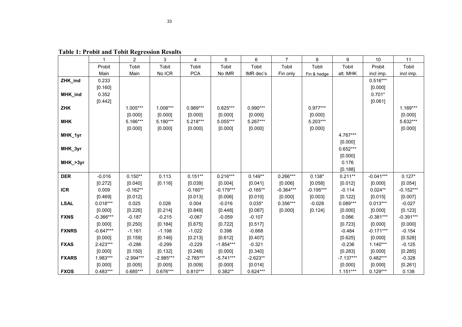|              |             | 2           | 3           | 4           | 5           | 6          | 7           | 8           | 9           | 10          | 11          |
|--------------|-------------|-------------|-------------|-------------|-------------|------------|-------------|-------------|-------------|-------------|-------------|
|              | Probit      | Tobit       | Tobit       | Tobit       | Tobit       | Tobit      | Tobit       | Tobit       | Tobit       | Probit      | Tobit       |
|              | Main        | Main        | No ICR      | <b>PCA</b>  | No IMR      | IMR dec's  | Fin only    | Fin & hedge | alt. MHK    | incl imp.   | incl imp.   |
| ZHK_ind      | 0.233       |             |             |             |             |            |             |             |             | $0.516***$  |             |
|              | [0.160]     |             |             |             |             |            |             |             |             | [0.000]     |             |
| MHK_ind      | 0.352       |             |             |             |             |            |             |             |             | $0.701*$    |             |
|              | [0.442]     |             |             |             |             |            |             |             |             | [0.061]     |             |
| <b>ZHK</b>   |             | 1.005***    | $1.008***$  | $0.989***$  | $0.825***$  | $0.990***$ |             | $0.977***$  |             |             | 1.169***    |
|              |             | [0.000]     | [0.000]     | [0.000]     | [0.000]     | [0.000]    |             | [0.000]     |             |             | [0.000]     |
| <b>MHK</b>   |             | 5.186***    | $5.190***$  | 5.218***    | 5.055***    | 5.267***   |             | 5.203***    |             |             | 5.632***    |
|              |             | [0.000]     | [0.000]     | [0.000]     | [0.000]     | [0.000]    |             | [0.000]     |             |             | [0.000]     |
| MHK_1yr      |             |             |             |             |             |            |             |             | 4.767***    |             |             |
|              |             |             |             |             |             |            |             |             | [0.000]     |             |             |
| MHK_3yr      |             |             |             |             |             |            |             |             | $0.652***$  |             |             |
|              |             |             |             |             |             |            |             |             | [0.000]     |             |             |
| MHK_>3yr     |             |             |             |             |             |            |             |             | 0.176       |             |             |
|              |             |             |             |             |             |            |             |             | [0.188]     |             |             |
| <b>DER</b>   | $-0.016$    | $0.150**$   | 0.113       | $0.151**$   | $0.216***$  | $0.149**$  | $0.266***$  | $0.138*$    | $0.211**$   | $-0.041***$ | $0.127*$    |
|              | [0.272]     | [0.040]     | [0.116]     | [0.039]     | [0.004]     | [0.041]    | [0.006]     | [0.058]     | [0.012]     | [0.000]     | [0.054]     |
| <b>ICR</b>   | 0.009       | $-0.162**$  |             | $-0.160**$  | $-0.179***$ | $-0.165**$ | $-0.364***$ | $-0.195***$ | $-0.114$    | $0.024**$   | $-0.152***$ |
|              | [0.469]     | [0.012]     |             | [0.013]     | [0.006]     | [0.010]    | [0.000]     | [0.003]     | [0.122]     | [0.015]     | [0.007]     |
| <b>LSAL</b>  | $0.018***$  | 0.025       | 0.026       | 0.004       | $-0.016$    | $0.035*$   | $0.356***$  | $-0.028$    | $0.089***$  | $0.013***$  | $-0.027$    |
|              | [0.000]     | [0.226]     | [0.214]     | [0.849]     | [0.448]     | [0.087]    | [0.000]     | [0.124]     | [0.000]     | [0.000]     | [0.123]     |
| <b>FXNS</b>  | $-0.366***$ | $-0.187$    | $-0.215$    | $-0.067$    | $-0.059$    | $-0.107$   |             |             | 0.066       | $-0.381***$ | $-0.391***$ |
|              | [0.000]     | [0.250]     | [0.184]     | [0.675]     | [0.722]     | [0.517]    |             |             | [0.723]     | [0.000]     | [0.000]     |
| <b>FXNRS</b> | $-0.647***$ | $-1.161$    | $-1.198$    | $-1.022$    | 0.398       | $-0.668$   |             |             | $-0.484$    | $-0.171***$ | $-0.154$    |
|              | [0.000]     | [0.159]     | [0.146]     | [0.213]     | [0.612]     | [0.407]    |             |             | [0.625]     | [0.000]     | [0.528]     |
| <b>FXAS</b>  | $2.423***$  | $-0.286$    | $-0.299$    | $-0.229$    | $-1.854***$ | $-0.321$   |             |             | $-0.236$    | $1.140***$  | $-0.125$    |
|              | [0.000]     | [0.150]     | [0.132]     | [0.248]     | [0.000]     | [0.340]    |             |             | [0.283]     | [0.000]     | [0.285]     |
| <b>FXARS</b> | 1.983***    | $-2.994***$ | $-2.985***$ | $-2.765***$ | $-5.741***$ | $-2.623**$ |             |             | $-7.137***$ | $0.482***$  | $-0.328$    |
|              | [0.000]     | [0.005]     | [0.005]     | [0.009]     | [0.000]     | [0.014]    |             |             | [0.000]     | [0.000]     | [0.261]     |
| <b>FXOS</b>  | $0.483***$  | $0.685***$  | $0.676***$  | $0.810***$  | $0.382**$   | $0.624***$ |             |             | $1.151***$  | $0.129***$  | 0.138       |

**Table 1: Probit and Tobit Regression Results**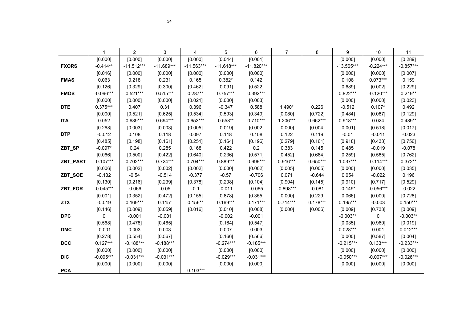|                 | 1           | $\overline{2}$ | 3            | 4            | 5            | 6            | 7           | 8          | 9            | 10          | 11          |
|-----------------|-------------|----------------|--------------|--------------|--------------|--------------|-------------|------------|--------------|-------------|-------------|
|                 | [0.000]     | [0.000]        | [0.000]      | [0.000]      | [0.044]      | [0.001]      |             |            | [0.000]      | [0.000]     | [0.289]     |
| <b>FXORS</b>    | $-0.414**$  | $-11.512***$   | $-11.689***$ | $-11.563***$ | $-11.618***$ | $-11.820***$ |             |            | $-13.565***$ | $-0.224***$ | $-0.857***$ |
|                 | [0.016]     | [0.000]        | [0.000]      | [0.000]      | [0.000]      | [0.000]      |             |            | [0.000]      | [0.000]     | [0.007]     |
| <b>FMAS</b>     | 0.063       | 0.218          | 0.231        | 0.165        | $0.382*$     | 0.142        |             |            | 0.108        | $0.073***$  | 0.159       |
|                 | [0.126]     | [0.329]        | [0.300]      | [0.462]      | [0.091]      | [0.522]      |             |            | [0.689]      | [0.002]     | [0.229]     |
| <b>FMOS</b>     | $-0.096***$ | $0.521***$     | $0.515***$   | $0.287**$    | $0.757***$   | $0.392***$   |             |            | $0.822***$   | $-0.120***$ | $0.219**$   |
|                 | [0.000]     | [0.000]        | [0.000]      | [0.021]      | [0.000]      | [0.003]      |             |            | [0.000]      | [0.000]     | [0.023]     |
| <b>DTE</b>      | $0.375***$  | 0.407          | 0.31         | 0.396        | $-0.347$     | 0.588        | 1.490*      | 0.226      | $-0.512$     | $0.107*$    | 0.492       |
|                 | [0.000]     | [0.521]        | [0.625]      | [0.534]      | [0.593]      | [0.349]      | [0.080]     | [0.722]    | [0.484]      | [0.087]     | [0.129]     |
| <b>ITA</b>      | 0.052       | $0.689***$     | $0.694***$   | $0.653***$   | $0.558**$    | $0.710***$   | $1.206***$  | $0.662***$ | $0.918***$   | 0.024       | $0.489**$   |
|                 | [0.268]     | [0.003]        | [0.003]      | [0.005]      | [0.019]      | [0.002]      | [0.000]     | [0.004]    | [0.001]      | [0.518]     | [0.017]     |
| <b>DTP</b>      | $-0.012$    | 0.108          | 0.118        | 0.097        | 0.118        | 0.108        | 0.122       | 0.119      | $-0.01$      | $-0.011$    | $-0.023$    |
|                 | [0.485]     | [0.198]        | [0.161]      | [0.251]      | [0.164]      | [0.196]      | [0.279]     | [0.161]    | [0.918]      | [0.433]     | [0.756]     |
| ZBT_SP          | $-0.097*$   | 0.24           | 0.285        | 0.168        | 0.422        | 0.2          | 0.383       | 0.145      | 0.485        | $-0.019$    | $-0.078$    |
|                 | [0.066]     | [0.500]        | [0.422]      | [0.640]      | [0.236]      | [0.571]      | [0.452]     | [0.684]    | [0.259]      | [0.585]     | [0.762]     |
| <b>ZBT_PART</b> | $-0.107***$ | $0.702***$     | $0.724***$   | $0.704***$   | $0.889***$   | 0.696***     | $0.916***$  | $0.650***$ | $1.037***$   | $-0.114***$ | $0.372**$   |
|                 | [0.006]     | [0.002]        | [0.002]      | [0.002]      | [0.000]      | [0.002]      | [0.005]     | [0.005]    | [0.000]      | [0.000]     | [0.035]     |
| ZBT_SOE         | $-0.132$    | $-0.54$        | $-0.514$     | $-0.377$     | $-0.57$      | $-0.706$     | 0.071       | $-0.644$   | 0.054        | $-0.022$    | 0.196       |
|                 | [0.130]     | [0.216]        | [0.239]      | [0.378]      | [0.208]      | [0.104]      | [0.904]     | [0.145]    | [0.910]      | [0.717]     | [0.529]     |
| ZBT_FOR         | $-0.045***$ | $-0.066$       | $-0.05$      | $-0.1$       | $-0.011$     | $-0.065$     | $-0.898***$ | $-0.081$   | $-0.149*$    | $-0.056***$ | $-0.022$    |
|                 | [0.001]     | [0.352]        | [0.472]      | [0.155]      | [0.878]      | [0.355]      | [0.000]     | [0.229]    | [0.066]      | [0.000]     | [0.728]     |
| <b>ZTX</b>      | $-0.019$    | $0.169***$     | $0.115*$     | $0.156**$    | $0.169***$   | $0.171***$   | $0.714***$  | $0.178***$ | $0.195***$   | $-0.003$    | $0.150***$  |
|                 | [0.146]     | [0.009]        | [0.059]      | [0.016]      | [0.010]      | [0.008]      | [0.000]     | [0.006]    | [0.009]      | [0.733]     | [0.009]     |
| <b>DPC</b>      | 0           | $-0.001$       | $-0.001$     |              | $-0.002$     | $-0.001$     |             |            | $-0.003**$   | 0           | $-0.003**$  |
|                 | [0.568]     | [0.478]        | [0.465]      |              | [0.164]      | [0.547]      |             |            | [0.035]      | [0.960]     | [0.019]     |
| <b>DMC</b>      | $-0.001$    | 0.003          | 0.003        |              | 0.007        | 0.003        |             |            | $0.028***$   | 0.001       | $0.012***$  |
|                 | [0.278]     | [0.554]        | [0.567]      |              | [0.166]      | [0.566]      |             |            | [0.000]      | [0.587]     | [0.004]     |
| <b>DCC</b>      | $0.127***$  | $-0.188***$    | $-0.188***$  |              | $-0.274***$  | $-0.185***$  |             |            | $-0.215***$  | $0.133***$  | $-0.233***$ |
|                 | $[0.000]$   | [0.000]        | [0.000]      |              | [0.000]      | [0.000]      |             |            | [0.000]      | [0.000]     | [0.000]     |
| <b>DIC</b>      | $-0.005***$ | $-0.031***$    | $-0.031***$  |              | $-0.029***$  | $-0.031***$  |             |            | $-0.050***$  | $-0.007***$ | $-0.026***$ |
|                 | [0.000]     | [0.000]        | [0.000]      |              | [0.000]      | [0.000]      |             |            | [0.000]      | [0.000]     | [0.000]     |
| <b>PCA</b>      |             |                |              | $-0.103***$  |              |              |             |            |              |             |             |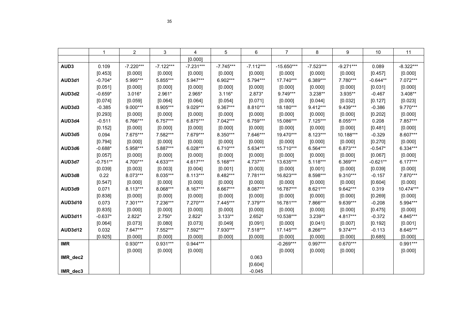|                  | 1          | $\overline{2}$ | 3           | 4           | 5           | 6           | 7            | 8           | 9           | 10         | 11          |
|------------------|------------|----------------|-------------|-------------|-------------|-------------|--------------|-------------|-------------|------------|-------------|
|                  |            |                |             | [0.000]     |             |             |              |             |             |            |             |
| AUD <sub>3</sub> | 0.109      | $-7.220***$    | $-7.122***$ | $-7.231***$ | $-7.745***$ | $-7.112***$ | $-15.650***$ | $-7.523***$ | $-9.271***$ | 0.089      | $-8.322***$ |
|                  | [0.453]    | [0.000]        | [0.000]     | [0.000]     | [0.000]     | [0.000]     | [0.000]      | [0.000]     | [0.000]     | [0.457]    | [0.000]     |
| AUD3d1           | $-0.704*$  | 5.995***       | 5.855***    | 5.947***    | 6.902***    | 5.794***    | 17.740***    | 6.389***    | 7.780***    | $-0.644**$ | 7.072***    |
|                  | [0.051]    | [0.000]        | [0.000]     | [0.000]     | [0.000]     | [0.000]     | [0.000]      | [0.000]     | [0.000]     | [0.031]    | [0.000]     |
| AUD3d2           | $-0.659*$  | $3.016*$       | 2.961*      | 2.965*      | $3.116*$    | 2.873*      | 9.749***     | 3.238**     | $3.935**$   | $-0.467$   | 3.408**     |
|                  | [0.074]    | [0.059]        | [0.064]     | [0.064]     | [0.054]     | [0.071]     | [0.000]      | [0.044]     | [0.032]     | [0.127]    | [0.023]     |
| AUD3d3           | $-0.385$   | $9.000***$     | 8.905***    | 9.029***    | 9.367***    | 8.810***    | 18.180***    | 9.412***    | 9.439***    | $-0.386$   | 9.770***    |
|                  | [0.293]    | [0.000]        | [0.000]     | [0.000]     | [0.000]     | [0.000]     | [0.000]      | [0.000]     | [0.000]     | [0.202]    | [0.000]     |
| AUD3d4           | $-0.511$   | 6.766***       | 6.757***    | 6.875***    | 7.042***    | 6.759***    | 15.086***    | $7.125***$  | 8.055***    | 0.208      | 7.857***    |
|                  | [0.152]    | [0.000]        | [0.000]     | [0.000]     | [0.000]     | [0.000]     | [0.000]      | [0.000]     | [0.000]     | [0.481]    | [0.000]     |
| AUD3d5           | 0.094      | 7.675***       | 7.582***    | 7.679***    | 8.350***    | 7.646***    | 19.470***    | 8.123***    | 10.188***   | $-0.329$   | 8.607***    |
|                  | [0.794]    | [0.000]        | [0.000]     | [0.000]     | [0.000]     | [0.000]     | [0.000]      | [0.000]     | [0.000]     | [0.270]    | [0.000]     |
| AUD3d6           | $-0.688*$  | 5.958***       | 5.887***    | $6.028***$  | $6.710***$  | 5.634***    | 15.710***    | 6.564***    | 6.873***    | $-0.547*$  | 6.334***    |
|                  | [0.057]    | [0.000]        | [0.000]     | [0.000]     | [0.000]     | [0.000]     | [0.000]      | [0.000]     | [0.000]     | [0.067]    | [0.000]     |
| AUD3d7           | $-0.751**$ | 4.700***       | 4.633***    | 4.617***    | 5.168***    | 4.737***    | 13.635***    | $5.118***$  | 6.369***    | $-0.621**$ | $6.177***$  |
|                  | [0.039]    | [0.003]        | [0.003]     | [0.004]     | [0.001]     | [0.003]     | [0.000]      | [0.001]     | [0.000]     | [0.039]    | [0.000]     |
| AUD3d8           | 0.22       | 8.073***       | 8.035***    | 8.113***    | 8.482***    | 7.781***    | 16.823***    | 8.598***    | 9.310***    | $-0.157$   | 7.870***    |
|                  | [0.547]    | [0.000]        | [0.000]     | [0.000]     | [0.000]     | [0.000]     | [0.000]      | [0.000]     | [0.000]     | [0.604]    | [0.000]     |
| AUD3d9           | 0.071      | 8.113***       | 8.068***    | 8.167***    | 8.667***    | 8.087***    | 16.787***    | 8.621***    | 9.642***    | 0.319      | 10.474***   |
|                  | [0.838]    | [0.000]        | [0.000]     | [0.000]     | [0.000]     | [0.000]     | [0.000]      | [0.000]     | [0.000]     | [0.269]    | [0.000]     |
| AUD3d10          | 0.073      | 7.301***       | 7.236***    | 7.270***    | 7.445***    | 7.379***    | 16.781***    | 7.866***    | 9.639***    | $-0.208$   | 5.994***    |
|                  | [0.835]    | [0.000]        | [0.000]     | [0.000]     | [0.000]     | [0.000]     | [0.000]      | [0.000]     | [0.000]     | [0.475]    | [0.000]     |
| <b>AUD3d11</b>   | $-0.637*$  | $2.822*$       | $2.750*$    | 2.822*      | $3.133**$   | $2.652*$    | 10.538***    | 3.239**     | 4.817***    | $-0.372$   | 4.845***    |
|                  | [0.064]    | [0.073]        | [0.080]     | [0.073]     | [0.049]     | [0.091]     | [0.000]      | [0.041]     | [0.007]     | [0.192]    | [0.001]     |
| <b>AUD3d12</b>   | 0.032      | $7.647***$     | 7.552***    | 7.592***    | 7.930***    | 7.518***    | 17.145***    | 8.266***    | 9.374***    | $-0.113$   | 8.645***    |
|                  | [0.925]    | [0.000]        | [0.000]     | [0.000]     | [0.000]     | [0.000]     | [0.000]      | [0.000]     | [0.000]     | [0.685]    | [0.000]     |
| <b>IMR</b>       |            | $0.930***$     | $0.931***$  | $0.944***$  |             |             | $-0.269***$  | $0.997***$  | $0.670***$  |            | $0.991***$  |
|                  |            | [0.000]        | [0.000]     | [0.000]     |             |             | [0.000]      | [0.000]     | [0.000]     |            | [0.000]     |
| IMR_dec2         |            |                |             |             |             | 0.063       |              |             |             |            |             |
|                  |            |                |             |             |             | [0.604]     |              |             |             |            |             |
| IMR dec3         |            |                |             |             |             | $-0.045$    |              |             |             |            |             |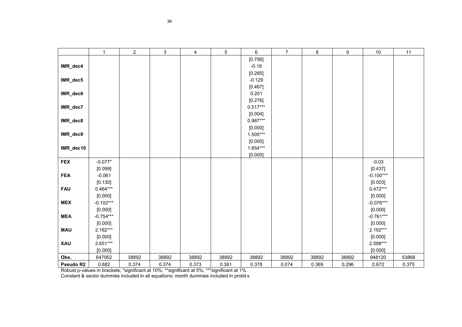|            | $\mathbf{1}$ | $\sqrt{2}$ | $\ensuremath{\mathsf{3}}$ | $\overline{4}$ | $\,$ 5 $\,$ | 6          | $\overline{7}$ | 8     | 9     | 10          | 11    |
|------------|--------------|------------|---------------------------|----------------|-------------|------------|----------------|-------|-------|-------------|-------|
|            |              |            |                           |                |             | [0.756]    |                |       |       |             |       |
| IMR_dec4   |              |            |                           |                |             | $-0.18$    |                |       |       |             |       |
|            |              |            |                           |                |             | [0.265]    |                |       |       |             |       |
| IMR_dec5   |              |            |                           |                |             | $-0.129$   |                |       |       |             |       |
|            |              |            |                           |                |             | [0.467]    |                |       |       |             |       |
| IMR_dec6   |              |            |                           |                |             | 0.201      |                |       |       |             |       |
|            |              |            |                           |                |             | [0.276]    |                |       |       |             |       |
| IMR_dec7   |              |            |                           |                |             | $0.517***$ |                |       |       |             |       |
|            |              |            |                           |                |             | [0.004]    |                |       |       |             |       |
| IMR_dec8   |              |            |                           |                |             | $0.987***$ |                |       |       |             |       |
|            |              |            |                           |                |             | [0.000]    |                |       |       |             |       |
| IMR_dec9   |              |            |                           |                |             | 1.505***   |                |       |       |             |       |
|            |              |            |                           |                |             | [0.000]    |                |       |       |             |       |
| IMR_dec10  |              |            |                           |                |             | $1.854***$ |                |       |       |             |       |
|            |              |            |                           |                |             | [0.000]    |                |       |       |             |       |
| <b>FEX</b> | $-0.077*$    |            |                           |                |             |            |                |       |       | $-0.03$     |       |
|            | [0.099]      |            |                           |                |             |            |                |       |       | [0.437]     |       |
| <b>FEA</b> | $-0.061$     |            |                           |                |             |            |                |       |       | $-0.100***$ |       |
|            | [0.130]      |            |                           |                |             |            |                |       |       | [0.003]     |       |
| <b>FAU</b> | $0.464***$   |            |                           |                |             |            |                |       |       | $0.472***$  |       |
|            | [0.000]      |            |                           |                |             |            |                |       |       | [0.000]     |       |
| <b>MEX</b> | $-0.102***$  |            |                           |                |             |            |                |       |       | $-0.076***$ |       |
|            | [0.000]      |            |                           |                |             |            |                |       |       | [0.000]     |       |
| <b>MEA</b> | $-0.754***$  |            |                           |                |             |            |                |       |       | $-0.761***$ |       |
|            | [0.000]      |            |                           |                |             |            |                |       |       | [0.000]     |       |
| <b>MAU</b> | $2.162***$   |            |                           |                |             |            |                |       |       | 2.192***    |       |
|            | [0.000]      |            |                           |                |             |            |                |       |       | [0.000]     |       |
| XAU        | $2.651***$   |            |                           |                |             |            |                |       |       | 2.598***    |       |
|            | [0.000]      |            |                           |                |             |            |                |       |       | [0.000]     |       |
| Obs.       | 647952       | 38892      | 38892                     | 38892          | 38892       | 38892      | 38892          | 38892 | 38892 | 948120      | 53868 |
| Pseudo R2  | 0.682        | 0.374      | 0.374                     | 0.373          | 0.361       | 0.378      | 0.074          | 0.369 | 0.296 | 0.672       | 0.375 |

Robust p-values in brackets; \*significant at 10%; \*\*significant at 5%; \*\*\*significant at 1% .

Constant & sector dummies included in all equations; month dummies included in probit s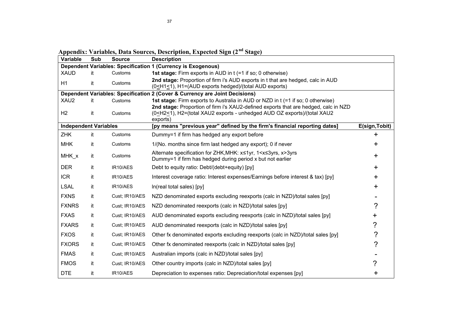| Variable                     | Sub | <b>Source</b>  | <b>Description</b>                                                                                                                                                                                                |                |
|------------------------------|-----|----------------|-------------------------------------------------------------------------------------------------------------------------------------------------------------------------------------------------------------------|----------------|
|                              |     |                | <b>Dependent Variables: Specification 1 (Currency is Exogenous)</b>                                                                                                                                               |                |
| <b>XAUD</b>                  | it  | Customs        | 1st stage: Firm exports in AUD in t (=1 if so; 0 otherwise)                                                                                                                                                       |                |
| H1                           | it  | Customs        | 2nd stage: Proportion of firm i's AUD exports in t that are hedged, calc in AUD<br>(0 <h1<1), (total="" aud="" exports="" exports)<="" h1="(AUD" hedged)="" td=""><td></td></h1<1),>                              |                |
|                              |     |                | Dependent Variables: Specification 2 (Cover & Currency are Joint Decisions)                                                                                                                                       |                |
| XAU2                         | it. | Customs        | 1st stage: Firm exports to Australia in AUD or NZD in t (=1 if so; 0 otherwise)                                                                                                                                   |                |
| H2                           | it  | Customs        | 2nd stage: Proportion of firm i's XAU2-defined exports that are hedged, calc in NZD<br>(0 <h2<1), (total="" -="" aud="" exports="" exports)="" h2="(total" oz="" unhedged="" xau2="" xau2<br="">exports)</h2<1),> |                |
| <b>Independent Variables</b> |     |                | [py means "previous year" defined by the firm's financial reporting dates]                                                                                                                                        | E(sign, Tobit) |
| <b>ZHK</b>                   | it  | Customs        | Dummy=1 if firm has hedged any export before                                                                                                                                                                      | +              |
| <b>MHK</b>                   | it  | Customs        | 1/(No. months since firm last hedged any export); 0 if never                                                                                                                                                      | ┿              |
| MHK x                        | it  | Customs        | Alternate specification for ZHK, MHK: x≤1yr, 1 <x≤3yrs, x="">3yrs<br/>Dummy=1 if firm has hedged during period x but not earlier</x≤3yrs,>                                                                        | ┿              |
| <b>DER</b>                   | it  | IR10/AES       | Debt to equity ratio: Debt/(debt+equity) [py]                                                                                                                                                                     | $\pm$          |
| <b>ICR</b>                   | it  | IR10/AES       | Interest coverage ratio: Interest expenses/Earnings before interest & tax) [py]                                                                                                                                   | ┿              |
| <b>LSAL</b>                  | it  | IR10/AES       | In(real total sales) [py]                                                                                                                                                                                         | ╋              |
| <b>FXNS</b>                  | it  | Cust; IR10/AES | NZD denominated exports excluding reexports (calc in NZD)/total sales [py]                                                                                                                                        |                |
| <b>FXNRS</b>                 | it  | Cust; IR10/AES | NZD denominated reexports (calc in NZD)/total sales [py]                                                                                                                                                          | 2              |
| <b>FXAS</b>                  | it  | Cust; IR10/AES | AUD denominated exports excluding reexports (calc in NZD)/total sales [py]                                                                                                                                        |                |
| <b>FXARS</b>                 | it  | Cust; IR10/AES | AUD denominated reexports (calc in NZD)/total sales [py]                                                                                                                                                          | ?              |
| <b>FXOS</b>                  | it  | Cust: IR10/AES | Other fx denominated exports excluding reexports (calc in NZD)/total sales [py]                                                                                                                                   | ?              |
| <b>FXORS</b>                 | it  | Cust; IR10/AES | Other fx denominated reexports (calc in NZD)/total sales [py]                                                                                                                                                     | ?              |
| <b>FMAS</b>                  | it  | Cust; IR10/AES | Australian imports (calc in NZD)/total sales [py]                                                                                                                                                                 |                |
| <b>FMOS</b>                  | it  | Cust; IR10/AES | Other country imports (calc in NZD)/total sales [py]                                                                                                                                                              | ?              |
| <b>DTE</b>                   | it  | IR10/AES       | Depreciation to expenses ratio: Depreciation/total expenses [py]                                                                                                                                                  | +              |

**Appendix: Variables, Data Sources, Description, Expected Sign (2nd Stage)**